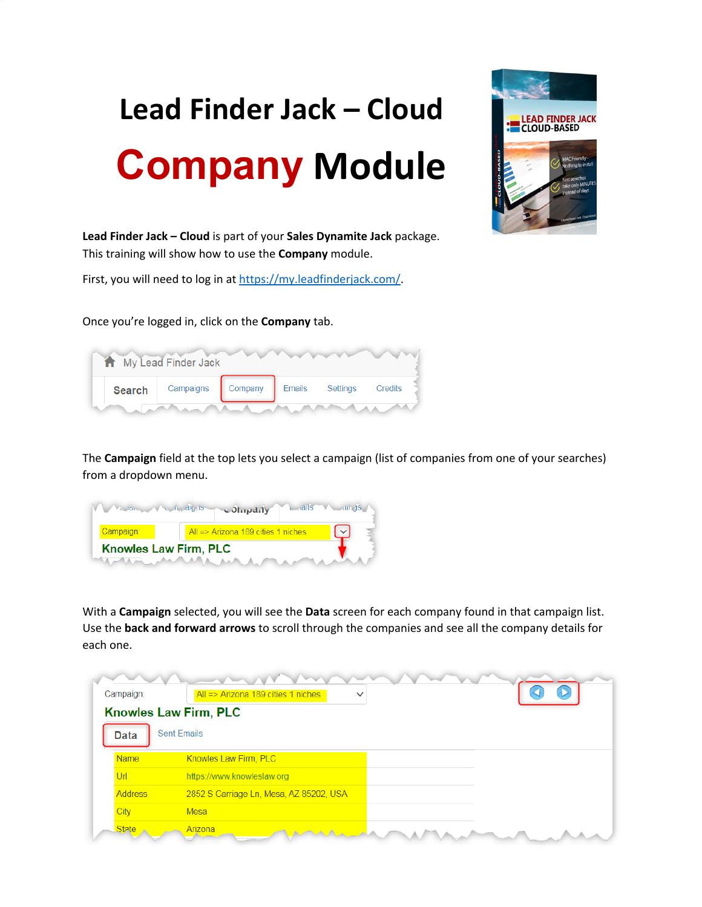## **Lead Finder Jack – Cloud Company Module**



**Lead Finder Jack – Cloud** is part of your **Sales Dynamite Jack** package. This training will show how to use the **Company** module.

First, you will need to log in at [https://my.leadfinderjack.com/.](https://my.leadfinderjack.com/)

Once you're logged in, click on the **Company** tab.

| My Lead Finder Jack |               |                                   |  |  |  |         |  |  |
|---------------------|---------------|-----------------------------------|--|--|--|---------|--|--|
|                     | <b>Search</b> | Campaigns Company Emails Settings |  |  |  | Credits |  |  |
|                     |               |                                   |  |  |  |         |  |  |

The **Campaign** field at the top lets you select a campaign (list of companies from one of your searches) from a dropdown menu.

|                              |  | Medina Va Application a Strip dily | $L$ alls $V$ and $dS$ |
|------------------------------|--|------------------------------------|-----------------------|
| Campaign:                    |  | All => Arizona 189 cities 1 niches |                       |
| <b>Knowles Law Firm, PLC</b> |  |                                    |                       |
|                              |  |                                    |                       |

With a **Campaign** selected, you will see the **Data** screen for each company found in that campaign list. Use the **back and forward arrows** to scroll through the companies and see all the company details for each one.

| Campaign:      | All => Arizona 189 cities 1 niches<br>$\checkmark$ |  |
|----------------|----------------------------------------------------|--|
|                | <b>Knowles Law Firm, PLC</b>                       |  |
| <b>Data</b>    | <b>Sent Emails</b>                                 |  |
| <b>Name</b>    | Knowles Law Firm, PLC                              |  |
| Url            | https://www.knowleslaw.org                         |  |
| <b>Address</b> | 2852 S Carriage Ln, Mesa, AZ 85202, USA            |  |
| <b>City</b>    | <b>Mesa</b>                                        |  |
| <b>State</b>   | Arizonal                                           |  |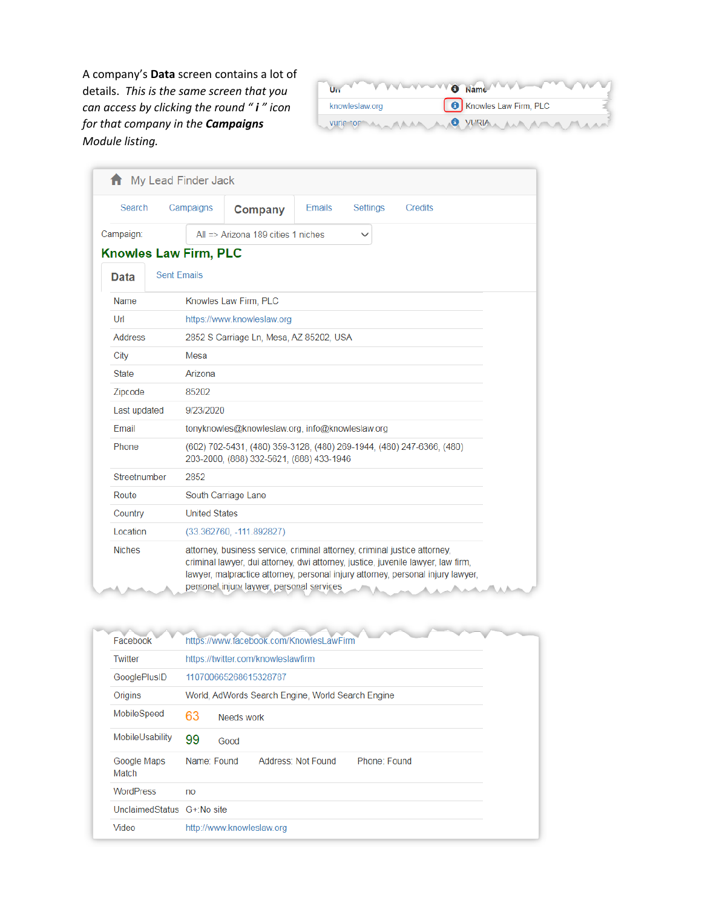A company's **Data** screen contains a lot of details. *This is the same screen that you can access by clicking the round " i " icon for that company in the Campaigns Module listing.*

|                | Un Www.www.                |  |
|----------------|----------------------------|--|
| knowleslaw.org | Knowles Law Firm, PLC      |  |
|                | wire op man me WRIA MAMMAN |  |

|                | <b>f</b> My Lead Finder Jack |                                                                                                                                                                                                            |               |                 |                                                                                 |
|----------------|------------------------------|------------------------------------------------------------------------------------------------------------------------------------------------------------------------------------------------------------|---------------|-----------------|---------------------------------------------------------------------------------|
| Search         | Campaigns                    | Company                                                                                                                                                                                                    | <b>Emails</b> | <b>Settings</b> | Credits                                                                         |
| Campaign:      |                              | All $\Rightarrow$ Arizona 189 cities 1 niches                                                                                                                                                              |               | $\checkmark$    |                                                                                 |
|                | <b>Knowles Law Firm, PLC</b> |                                                                                                                                                                                                            |               |                 |                                                                                 |
| Data           | <b>Sent Emails</b>           |                                                                                                                                                                                                            |               |                 |                                                                                 |
| Name           |                              | Knowles Law Firm, PLC                                                                                                                                                                                      |               |                 |                                                                                 |
| Ur1            |                              | https://www.knowleslaw.org                                                                                                                                                                                 |               |                 |                                                                                 |
| <b>Address</b> |                              | 2852 S Carriage Ln, Mesa, AZ 85202, USA                                                                                                                                                                    |               |                 |                                                                                 |
| City           | Mesa                         |                                                                                                                                                                                                            |               |                 |                                                                                 |
| <b>State</b>   | Arizona                      |                                                                                                                                                                                                            |               |                 |                                                                                 |
| Zipcode        | 85202                        |                                                                                                                                                                                                            |               |                 |                                                                                 |
| Last updated   | 9/23/2020                    |                                                                                                                                                                                                            |               |                 |                                                                                 |
| Email          |                              | tonyknowles@knowleslaw.org, info@knowleslaw.org                                                                                                                                                            |               |                 |                                                                                 |
| Phone          |                              | (602) 702-5431, (480) 359-3128, (480) 269-1944, (480) 247-6366, (480)<br>203-2000, (888) 332-5621, (888) 433-1946                                                                                          |               |                 |                                                                                 |
| Streetnumber   | 2852                         |                                                                                                                                                                                                            |               |                 |                                                                                 |
| Route          |                              | South Carriage Lane                                                                                                                                                                                        |               |                 |                                                                                 |
| Country        | <b>United States</b>         |                                                                                                                                                                                                            |               |                 |                                                                                 |
| Location       |                              | $(33.362760, -111.892827)$                                                                                                                                                                                 |               |                 |                                                                                 |
| <b>Niches</b>  |                              | attorney, business service, criminal attorney, criminal justice attorney,<br>criminal lawyer, dui attorney, dwi attorney, justice, juvenile lawyer, law firm,<br>personal injury laywer, personal services |               |                 | lawyer, malpractice attorney, personal injury attorney, personal injury lawyer, |

| Facebook                   | https://www.facebook.com/KnowlesLawFirm           |  |
|----------------------------|---------------------------------------------------|--|
| Twitter                    | https://twitter.com/knowleslawfirm                |  |
| GooglePlusID               | 110700665268615328787                             |  |
| Origins                    | World, AdWords Search Engine, World Search Engine |  |
| MobileSpeed                | 63<br>Needs work                                  |  |
| MobileUsability            | 99<br>Good                                        |  |
| Google Maps<br>Match       | Name: Found<br>Address: Not Found<br>Phone: Found |  |
| <b>WordPress</b>           | no                                                |  |
| UnclaimedStatus G+:No site |                                                   |  |
| Video                      | http://www.knowleslaw.org                         |  |